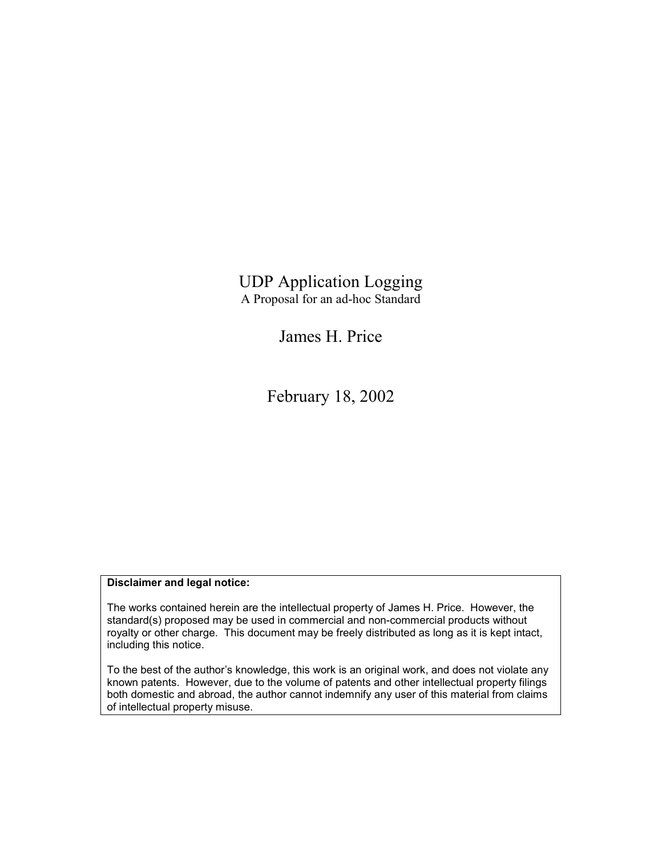UDP Application Logging A Proposal for an ad-hoc Standard

James H. Price

February 18, 2002

#### **Disclaimer and legal notice:**

The works contained herein are the intellectual property of James H. Price. However, the standard(s) proposed may be used in commercial and non-commercial products without royalty or other charge. This document may be freely distributed as long as it is kept intact, including this notice.

To the best of the author's knowledge, this work is an original work, and does not violate any known patents. However, due to the volume of patents and other intellectual property filings both domestic and abroad, the author cannot indemnify any user of this material from claims of intellectual property misuse.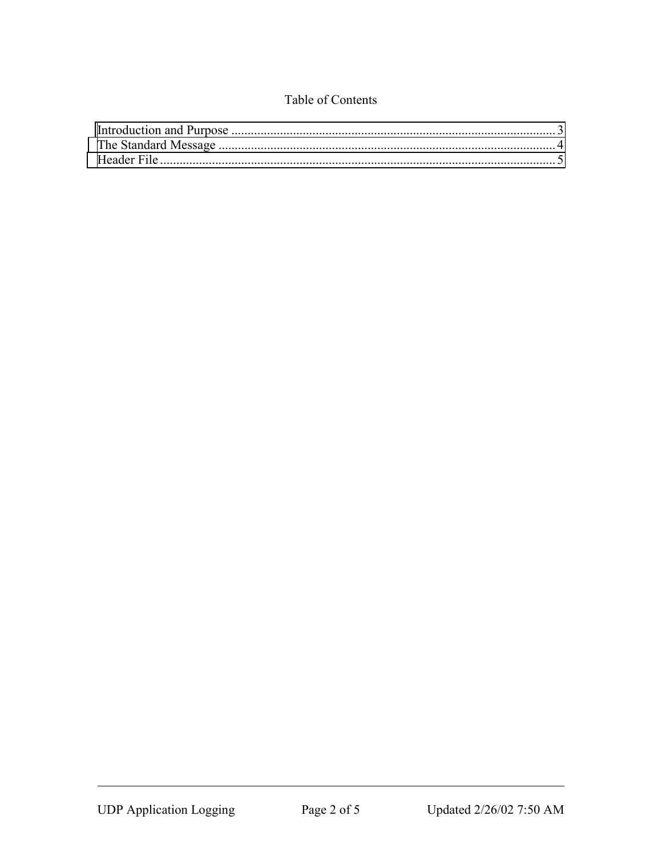### Table of Contents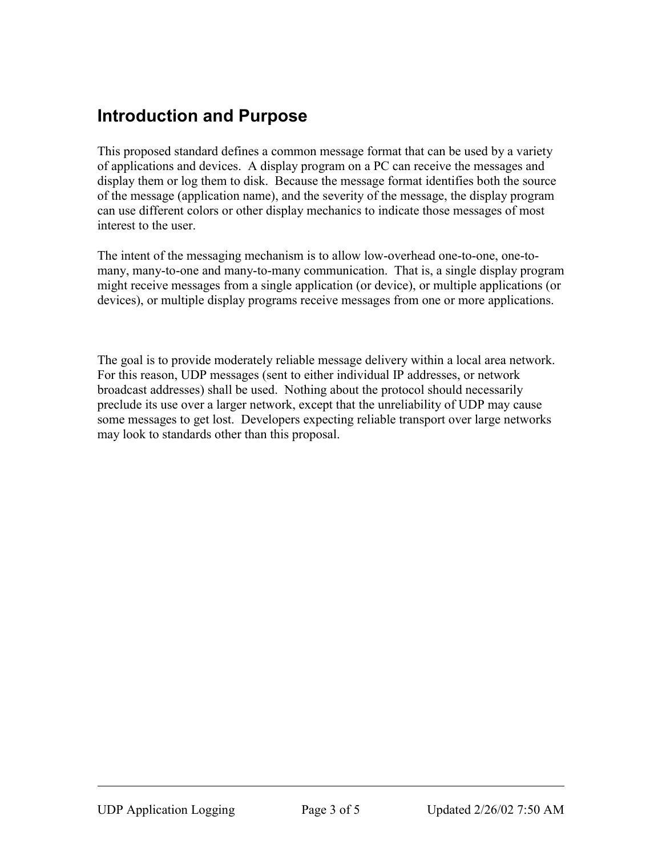## <span id="page-2-0"></span>**Introduction and Purpose**

This proposed standard defines a common message format that can be used by a variety of applications and devices. A display program on a PC can receive the messages and display them or log them to disk. Because the message format identifies both the source of the message (application name), and the severity of the message, the display program can use different colors or other display mechanics to indicate those messages of most interest to the user.

The intent of the messaging mechanism is to allow low-overhead one-to-one, one-tomany, many-to-one and many-to-many communication. That is, a single display program might receive messages from a single application (or device), or multiple applications (or devices), or multiple display programs receive messages from one or more applications.

The goal is to provide moderately reliable message delivery within a local area network. For this reason, UDP messages (sent to either individual IP addresses, or network broadcast addresses) shall be used. Nothing about the protocol should necessarily preclude its use over a larger network, except that the unreliability of UDP may cause some messages to get lost. Developers expecting reliable transport over large networks may look to standards other than this proposal.

 $\overline{a}$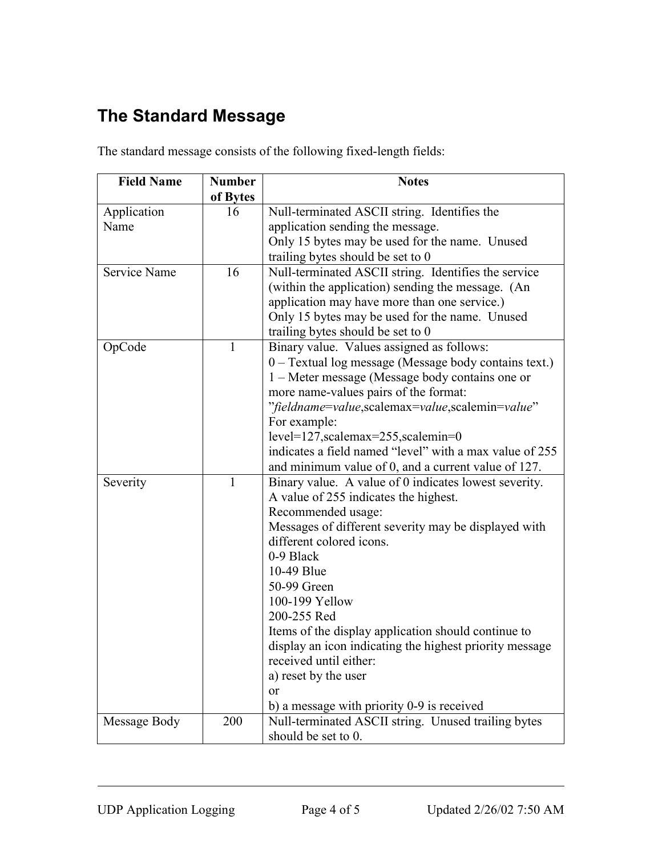# <span id="page-3-0"></span>**The Standard Message**

The standard message consists of the following fixed-length fields:

| <b>Field Name</b>   | <b>Number</b> | <b>Notes</b>                                            |
|---------------------|---------------|---------------------------------------------------------|
|                     | of Bytes      |                                                         |
| Application         | 16            | Null-terminated ASCII string. Identifies the            |
| Name                |               | application sending the message.                        |
|                     |               | Only 15 bytes may be used for the name. Unused          |
|                     |               | trailing bytes should be set to 0                       |
| <b>Service Name</b> | 16            | Null-terminated ASCII string. Identifies the service    |
|                     |               | (within the application) sending the message. (An       |
|                     |               | application may have more than one service.)            |
|                     |               | Only 15 bytes may be used for the name. Unused          |
|                     |               | trailing bytes should be set to 0                       |
| OpCode              | $\mathbf{1}$  | Binary value. Values assigned as follows:               |
|                     |               | 0 – Textual log message (Message body contains text.)   |
|                     |               | 1 – Meter message (Message body contains one or         |
|                     |               | more name-values pairs of the format:                   |
|                     |               | "fieldname=value,scalemax=value,scalemin=value"         |
|                     |               | For example:                                            |
|                     |               | $level=127$ , scalemax= $255$ , scalemin=0              |
|                     |               | indicates a field named "level" with a max value of 255 |
|                     |               | and minimum value of 0, and a current value of 127.     |
| Severity            | $\mathbf{1}$  | Binary value. A value of 0 indicates lowest severity.   |
|                     |               | A value of 255 indicates the highest.                   |
|                     |               | Recommended usage:                                      |
|                     |               | Messages of different severity may be displayed with    |
|                     |               | different colored icons.                                |
|                     |               | 0-9 Black                                               |
|                     |               | 10-49 Blue                                              |
|                     |               | 50-99 Green                                             |
|                     |               | 100-199 Yellow                                          |
|                     |               | 200-255 Red                                             |
|                     |               | Items of the display application should continue to     |
|                     |               | display an icon indicating the highest priority message |
|                     |               | received until either:                                  |
|                     |               | a) reset by the user                                    |
|                     |               | or                                                      |
|                     |               | b) a message with priority 0-9 is received              |
| Message Body        | 200           | Null-terminated ASCII string. Unused trailing bytes     |
|                     |               | should be set to 0.                                     |

 $\overline{a}$